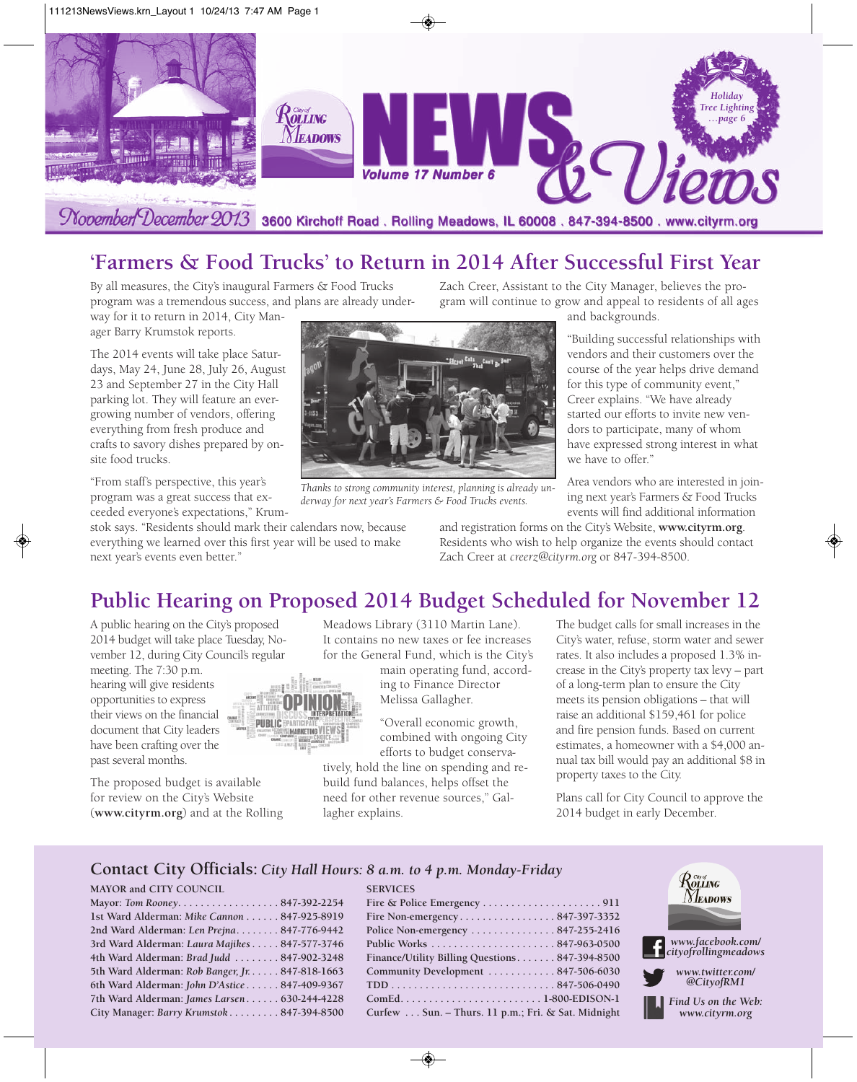

## **'Farmers & Food Trucks' to Return in 2014 After Successful First Year**

By all measures, the City's inaugural Farmers & Food Trucks program was a tremendous success, and plans are already under-

way for it to return in 2014, City Manager Barry Krumstok reports.

The 2014 events will take place Saturdays, May 24, June 28, July 26, August 23 and September 27 in the City Hall parking lot. They will feature an evergrowing number of vendors, offering everything from fresh produce and crafts to savory dishes prepared by onsite food trucks.

"From staff's perspective, this year's program was a great success that exceeded everyone's expectations," Krum-

stok says. "Residents should mark their calendars now, because everything we learned over this first year will be used to make next year's events even better."

Zach Creer, Assistant to the City Manager, believes the program will continue to grow and appeal to residents of all ages

and backgrounds.

"Building successful relationships with vendors and their customers over the course of the year helps drive demand for this type of community event," Creer explains. "We have already started our efforts to invite new vendors to participate, many of whom have expressed strong interest in what we have to offer."

Area vendors who are interested in joining next year's Farmers & Food Trucks events will find additional information

and registration forms on the City's Website, **www.cityrm.org**. Residents who wish to help organize the events should contact Zach Creer at *creerz@cityrm.org* or 847-394-8500.

#### **Public Hearing on Proposed 2014 Budget Scheduled for November 12**

*Thanks to strong community interest, planning is already un-*

A public hearing on the City's proposed 2014 budget will take place Tuesday, November 12, during City Council's regular

meeting. The 7:30 p.m. hearing will give residents opportunities to express their views on the financial document that City leaders have been crafting over the past several months.

The proposed budget is available for review on the City's Website (**www.cityrm.org**) and at the Rolling Meadows Library (3110 Martin Lane). It contains no new taxes or fee increases for the General Fund, which is the City's

> main operating fund, according to Finance Director Melissa Gallagher.

"Overall economic growth, combined with ongoing City efforts to budget conserva-

tively, hold the line on spending and rebuild fund balances, helps offset the need for other revenue sources," Gallagher explains.

**SERVICES**

The budget calls for small increases in the City's water, refuse, storm water and sewer rates. It also includes a proposed 1.3% increase in the City's property tax levy – part of a long-term plan to ensure the City meets its pension obligations – that will raise an additional \$159,461 for police and fire pension funds. Based on current estimates, a homeowner with a \$4,000 annual tax bill would pay an additional \$8 in property taxes to the City.

Plans call for City Council to approve the 2014 budget in early December.

#### **Contact City Officials:** *City Hall Hours: 8 a.m. to 4 p.m. Monday-Friday*

#### **MAYOR and CITY COUNCIL**

| Mayor: Tom Rooney847-392-2254                   |  |
|-------------------------------------------------|--|
| 1st Ward Alderman: Mike Cannon 847-925-8919     |  |
| 2nd Ward Alderman: Len Prejna 847-776-9442      |  |
| 3rd Ward Alderman: Laura Majikes 847-577-3746   |  |
| 4th Ward Alderman: Brad Judd  847-902-3248      |  |
| 5th Ward Alderman: Rob Banger, Jr. 847-818-1663 |  |
| 6th Ward Alderman: John D'Astice 847-409-9367   |  |
| 7th Ward Alderman: James Larsen 630-244-4228    |  |
| City Manager: Barry Krumstok 847-394-8500       |  |

| Finance/Utility Billing Questions 847-394-8500     |
|----------------------------------------------------|
| Community Development  847-506-6030                |
|                                                    |
|                                                    |
| Curfew Sun. - Thurs. 11 p.m.; Fri. & Sat. Midnight |



*derway for next year's Farmers & Food Trucks events.*

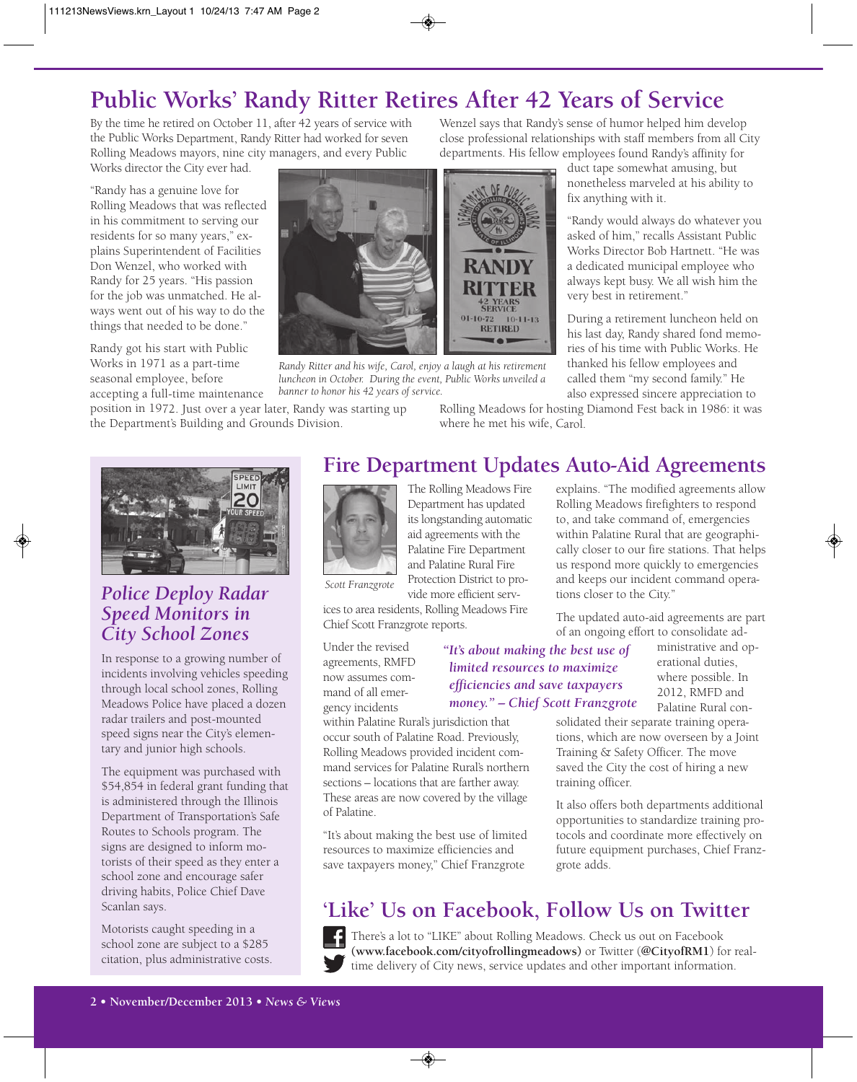## **Public Works' Randy Ritter Retires After 42 Years of Service**

By the time he retired on October 11, after 42 years of service with the Public Works Department, Randy Ritter had worked for seven Rolling Meadows mayors, nine city managers, and every Public Works director the City ever had.

"Randy has a genuine love for Rolling Meadows that was reflected in his commitment to serving our residents for so many years," explains Superintendent of Facilities Don Wenzel, who worked with Randy for 25 years. "His passion for the job was unmatched. He always went out of his way to do the things that needed to be done."

Randy got his start with Public Works in 1971 as a part-time seasonal employee, before

position in 1972. Just over a year later, Randy was starting up the Department's Building and Grounds Division.

Wenzel says that Randy's sense of humor helped him develop close professional relationships with staff members from all City departments. His fellow employees found Randy's affinity for

duct tape somewhat amusing, but nonetheless marveled at his ability to fix anything with it.

"Randy would always do whatever you asked of him," recalls Assistant Public Works Director Bob Hartnett. "He was a dedicated municipal employee who always kept busy. We all wish him the very best in retirement."

During a retirement luncheon held on his last day, Randy shared fond memories of his time with Public Works. He thanked his fellow employees and called them "my second family." He also expressed sincere appreciation to

Rolling Meadows for hosting Diamond Fest back in 1986: it was where he met his wife, Carol.



#### *Police Deploy Radar Speed Monitors in City School Zones*

In response to a growing number of incidents involving vehicles speeding through local school zones, Rolling Meadows Police have placed a dozen radar trailers and post-mounted speed signs near the City's elementary and junior high schools.

The equipment was purchased with \$54,854 in federal grant funding that is administered through the Illinois Department of Transportation's Safe Routes to Schools program. The signs are designed to inform motorists of their speed as they enter a school zone and encourage safer driving habits, Police Chief Dave Scanlan says.

Motorists caught speeding in a school zone are subject to a \$285 citation, plus administrative costs.

#### **Fire Department Updates Auto-Aid Agreements**



The Rolling Meadows Fire Department has updated its longstanding automatic aid agreements with the Palatine Fire Department and Palatine Rural Fire Protection District to provide more efficient serv-

RAND

01-10-72 10-11-13<br>RETIRED

ices to area residents, Rolling Meadows Fire Chief Scott Franzgrote reports.

Under the revised agreements, RMFD now assumes command of all emergency incidents

within Palatine Rural's jurisdiction that occur south of Palatine Road. Previously, Rolling Meadows provided incident command services for Palatine Rural's northern sections – locations that are farther away. These areas are now covered by the village of Palatine.

"It's about making the best use of limited resources to maximize efficiencies and save taxpayers money," Chief Franzgrote

explains. "The modified agreements allow Rolling Meadows firefighters to respond to, and take command of, emergencies within Palatine Rural that are geographically closer to our fire stations. That helps us respond more quickly to emergencies and keeps our incident command operations closer to the City."

The updated auto-aid agreements are part of an ongoing effort to consolidate ad-

#### *limited resources to maximize efficiencies and save taxpayers money." – Chief Scott Franzgrote*

ministrative and operational duties, where possible. In 2012, RMFD and Palatine Rural con-

solidated their separate training operations, which are now overseen by a Joint Training & Safety Officer. The move saved the City the cost of hiring a new training officer.

It also offers both departments additional opportunities to standardize training protocols and coordinate more effectively on future equipment purchases, Chief Franzgrote adds.

## **'Like' Us on Facebook, Follow Us on Twitter**

There's a lot to "LIKE" about Rolling Meadows. Check us out on Facebook **(www.facebook.com/cityofrollingmeadows)** or Twitter (**@CityofRM1**) for realtime delivery of City news, service updates and other important information.

*"It's about making the best use of*

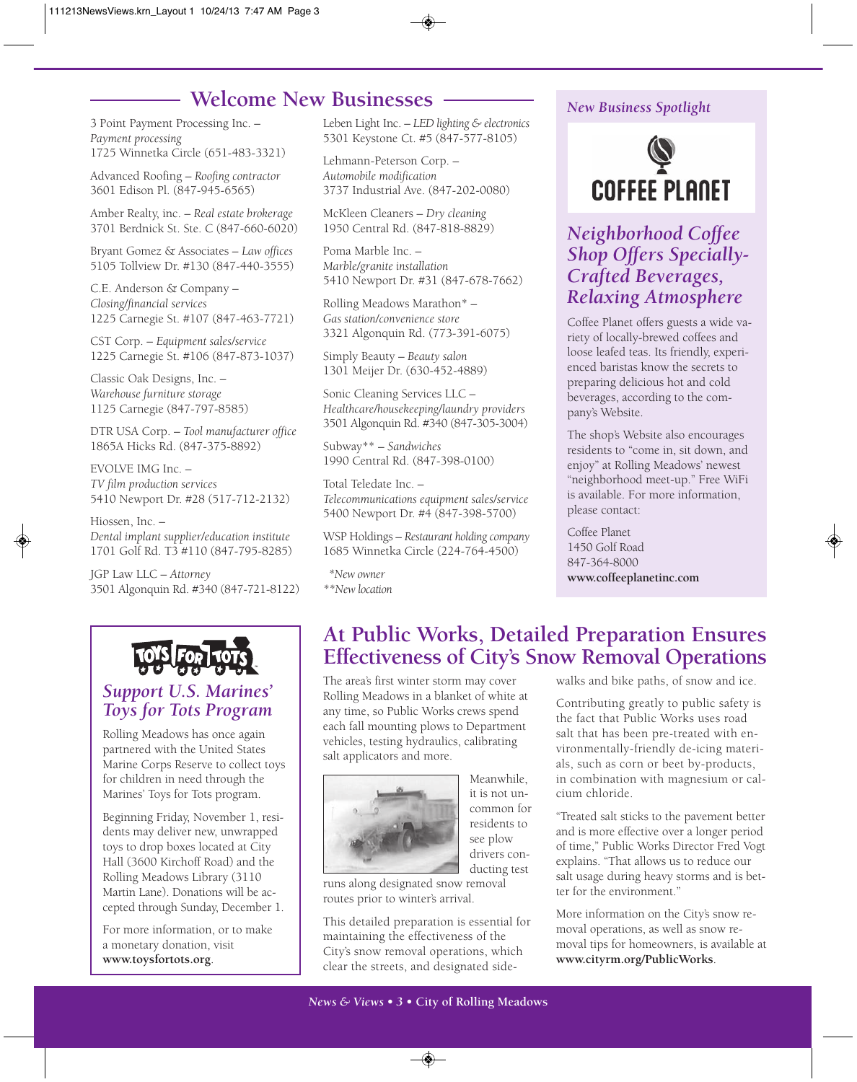#### **Welcome New Businesses**

3 Point Payment Processing Inc. – *Payment processing* 1725 Winnetka Circle (651-483-3321)

Advanced Roofing – *Roofing contractor* 3601 Edison Pl. (847-945-6565)

Amber Realty, inc. – *Real estate brokerage* 3701 Berdnick St. Ste. C (847-660-6020)

Bryant Gomez & Associates – *Law offices* 5105 Tollview Dr. #130 (847-440-3555)

C.E. Anderson & Company – *Closing/financial services* 1225 Carnegie St. #107 (847-463-7721)

CST Corp. – *Equipment sales/service* 1225 Carnegie St. #106 (847-873-1037)

Classic Oak Designs, Inc. – *Warehouse furniture storage* 1125 Carnegie (847-797-8585)

DTR USA Corp. – *Tool manufacturer office* 1865A Hicks Rd. (847-375-8892)

EVOLVE IMG Inc. – *TV film production services* 5410 Newport Dr. #28 (517-712-2132)

Hiossen, Inc. – *Dental implant supplier/education institute* 1701 Golf Rd. T3 #110 (847-795-8285)

JGP Law LLC – *Attorney* 3501 Algonquin Rd. #340 (847-721-8122)



#### *Support U.S. Marines' Toys for Tots Program*

Rolling Meadows has once again partnered with the United States Marine Corps Reserve to collect toys for children in need through the Marines' Toys for Tots program.

Beginning Friday, November 1, residents may deliver new, unwrapped toys to drop boxes located at City Hall (3600 Kirchoff Road) and the Rolling Meadows Library (3110 Martin Lane). Donations will be accepted through Sunday, December 1.

For more information, or to make a monetary donation, visit **www.toysfortots.org**.

Leben Light Inc. – *LED lighting & electronics* 5301 Keystone Ct. #5 (847-577-8105)

Lehmann-Peterson Corp. – *Automobile modification* 3737 Industrial Ave. (847-202-0080)

McKleen Cleaners – *Dry cleaning* 1950 Central Rd. (847-818-8829)

Poma Marble Inc. – *Marble/granite installation* 5410 Newport Dr. #31 (847-678-7662)

Rolling Meadows Marathon\* – *Gas station/convenience store* 3321 Algonquin Rd. (773-391-6075)

Simply Beauty – *Beauty salon* 1301 Meijer Dr. (630-452-4889)

Sonic Cleaning Services LLC – *Healthcare/housekeeping/laundry providers* 3501 Algonquin Rd. #340 (847-305-3004)

Subway\*\* – *Sandwiches* 1990 Central Rd. (847-398-0100)

Total Teledate Inc. – *Telecommunications equipment sales/service* 5400 Newport Dr. #4 (847-398-5700)

WSP Holdings – *Restaurant holding company* 1685 Winnetka Circle (224-764-4500)

*\*New owner \*\*New location*

#### *New Business Spotlight*



#### *Neighborhood Coffee Shop Offers Specially-Crafted Beverages, Relaxing Atmosphere*

Coffee Planet offers guests a wide variety of locally-brewed coffees and loose leafed teas. Its friendly, experienced baristas know the secrets to preparing delicious hot and cold beverages, according to the company's Website.

The shop's Website also encourages residents to "come in, sit down, and enjoy" at Rolling Meadows' newest "neighborhood meet-up." Free WiFi is available. For more information, please contact:

Coffee Planet 1450 Golf Road 847-364-8000 **www.coffeeplanetinc.com**

#### **At Public Works, Detailed Preparation Ensures Effectiveness of City's Snow Removal Operations**

The area's first winter storm may cover Rolling Meadows in a blanket of white at any time, so Public Works crews spend each fall mounting plows to Department vehicles, testing hydraulics, calibrating salt applicators and more.



Meanwhile, it is not uncommon for residents to see plow drivers conducting test

runs along designated snow removal routes prior to winter's arrival.

This detailed preparation is essential for maintaining the effectiveness of the City's snow removal operations, which clear the streets, and designated sidewalks and bike paths, of snow and ice.

Contributing greatly to public safety is the fact that Public Works uses road salt that has been pre-treated with environmentally-friendly de-icing materials, such as corn or beet by-products, in combination with magnesium or calcium chloride.

"Treated salt sticks to the pavement better and is more effective over a longer period of time," Public Works Director Fred Vogt explains. "That allows us to reduce our salt usage during heavy storms and is better for the environment."

More information on the City's snow removal operations, as well as snow removal tips for homeowners, is available at **www.cityrm.org/PublicWorks**.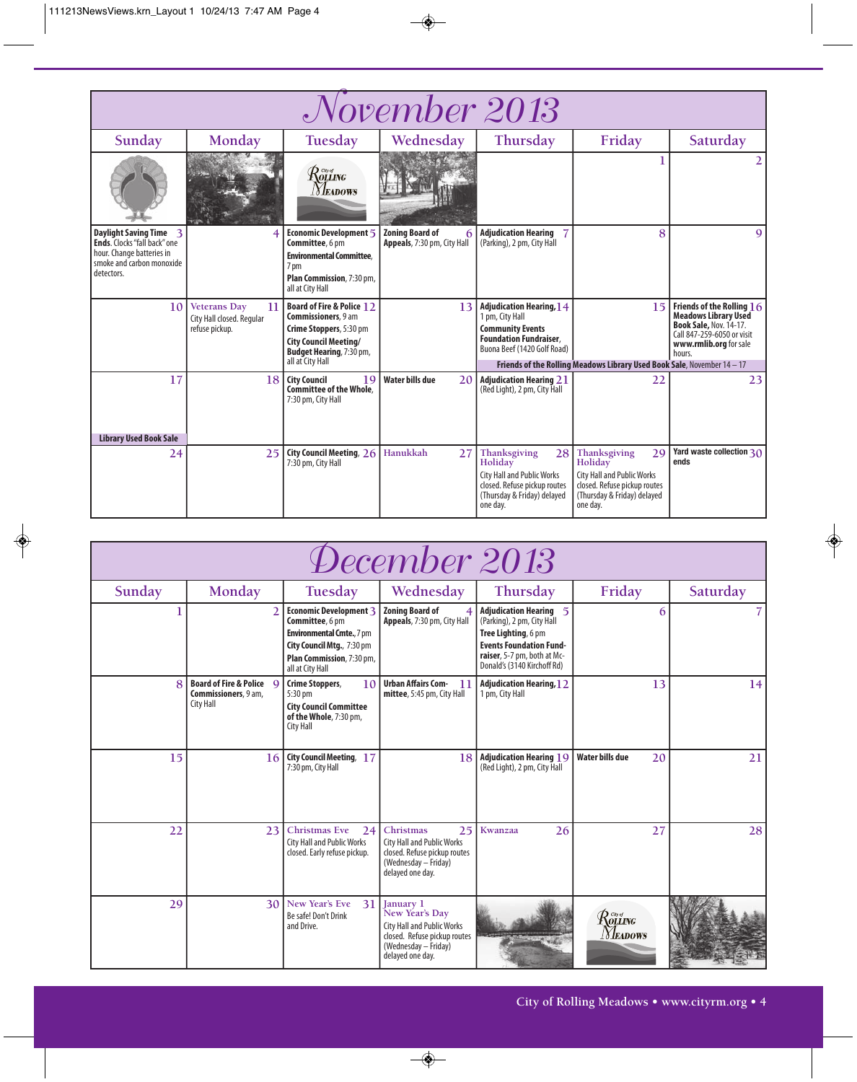| November 2013                                                                                                                  |                                                                          |                                                                                                                                                                            |                                                       |                                                                                                                                               |                                                                                                                                               |                                                                                                                                                               |  |
|--------------------------------------------------------------------------------------------------------------------------------|--------------------------------------------------------------------------|----------------------------------------------------------------------------------------------------------------------------------------------------------------------------|-------------------------------------------------------|-----------------------------------------------------------------------------------------------------------------------------------------------|-----------------------------------------------------------------------------------------------------------------------------------------------|---------------------------------------------------------------------------------------------------------------------------------------------------------------|--|
| Sunday                                                                                                                         | Monday                                                                   | Tuesday                                                                                                                                                                    | Wednesday                                             | Thursday                                                                                                                                      | Friday                                                                                                                                        | Saturday                                                                                                                                                      |  |
|                                                                                                                                |                                                                          | $\mathcal{R}$ ors of $\mathcal{R}$<br><i>Neadows</i>                                                                                                                       |                                                       |                                                                                                                                               |                                                                                                                                               |                                                                                                                                                               |  |
| Daylight Saving Time 3<br>Ends. Clocks "fall back" one<br>hour. Change batteries in<br>smoke and carbon monoxide<br>detectors. | 4                                                                        | Economic Development 5<br>Committee, 6 pm<br><b>Environmental Committee.</b><br>7 pm<br>Plan Commission, 7:30 pm,<br>all at City Hall                                      | <b>Zoning Board of</b><br>Appeals, 7:30 pm, City Hall | <b>Adjudication Hearing</b><br>(Parking), 2 pm, City Hall                                                                                     | 8                                                                                                                                             | $\mathbf Q$                                                                                                                                                   |  |
| 10                                                                                                                             | <b>Veterans Day</b><br>11<br>City Hall closed. Regular<br>refuse pickup. | Board of Fire & Police 12<br><b>Commissioners</b> , 9 am<br>Crime Stoppers, 5:30 pm<br><b>City Council Meeting/</b><br><b>Budget Hearing, 7:30 pm,</b><br>all at City Hall | 13                                                    | <b>Adjudication Hearing, 14</b><br>1 pm, City Hall<br><b>Community Events</b><br><b>Foundation Fundraiser,</b><br>Buona Beef (1420 Golf Road) | 15<br>Friends of the Rolling Meadows Library Used Book Sale, November 14 - 17                                                                 | Friends of the Rolling $16$<br><b>Meadows Library Used</b><br><b>Book Sale, Nov. 14-17.</b><br>Call 847-259-6050 or visit<br>www.rmlib.org for sale<br>hours. |  |
| 17<br><b>Library Used Book Sale</b>                                                                                            | 18                                                                       | <b>City Council</b><br>19<br>Committee of the Whole.<br>7:30 pm, City Hall                                                                                                 | <b>Water bills due</b><br>20                          | <b>Adjudication Hearing 21</b><br>(Red Light), 2 pm, City Hall                                                                                | 22                                                                                                                                            | 23                                                                                                                                                            |  |
| 24                                                                                                                             | 25                                                                       | City Council Meeting, 26<br>7:30 pm, City Hall                                                                                                                             | Hanukkah<br>27                                        | Thanksgiving<br>28<br>Holiday<br><b>City Hall and Public Works</b><br>closed. Refuse pickup routes<br>(Thursday & Friday) delayed<br>one dav. | Thanksgiving<br>29<br>Holiday<br><b>City Hall and Public Works</b><br>closed. Refuse pickup routes<br>(Thursday & Friday) delayed<br>one day. | Yard waste collection $30$<br>ends                                                                                                                            |  |

| December 2013 |                                                               |                                                                                                                                                              |                                                                                                                                              |                                                                                                                                                                             |                                                                                   |          |  |
|---------------|---------------------------------------------------------------|--------------------------------------------------------------------------------------------------------------------------------------------------------------|----------------------------------------------------------------------------------------------------------------------------------------------|-----------------------------------------------------------------------------------------------------------------------------------------------------------------------------|-----------------------------------------------------------------------------------|----------|--|
| Sunday        | Monday                                                        | Tuesday                                                                                                                                                      | Wednesday                                                                                                                                    | Thursday                                                                                                                                                                    | Friday                                                                            | Saturday |  |
|               |                                                               | Economic Development 3<br>Committee, 6 pm<br><b>Environmental Cmte., 7 pm</b><br>City Council Mtg., 7:30 pm<br>Plan Commission, 7:30 pm,<br>all at City Hall | <b>Zoning Board of</b><br>Appeals, 7:30 pm, City Hall                                                                                        | Adjudication Hearing 5<br>(Parking), 2 pm, City Hall<br>Tree Lighting, 6 pm<br><b>Events Foundation Fund-</b><br>raiser, 5-7 pm, both at Mc-<br>Donald's (3140 Kirchoff Rd) | 6                                                                                 |          |  |
|               | Board of Fire & Police Q<br>Commissioners, 9 am,<br>City Hall | Crime Stoppers,<br>10<br>$5:30$ pm<br><b>City Council Committee</b><br>of the Whole, 7:30 pm,<br><b>City Hall</b>                                            | <b>Urban Affairs Com-</b><br>11<br>mittee, 5:45 pm, City Hall                                                                                | <b>Adjudication Hearing, 12</b><br>1 pm, City Hall                                                                                                                          | 13                                                                                | 4        |  |
| 15            | 16                                                            | <b>City Council Meeting, 17</b><br>7:30 pm, City Hall                                                                                                        | 18                                                                                                                                           | <b>Adjudication Hearing 19</b><br>(Red Light), 2 pm, City Hall                                                                                                              | <b>Water bills due</b><br>20                                                      | 21       |  |
| 22            | 23                                                            | Christmas Eve<br>24<br><b>City Hall and Public Works</b><br>closed. Early refuse pickup.                                                                     | Christmas<br>25<br><b>City Hall and Public Works</b><br>closed. Refuse pickup routes<br>(Wednesday - Friday)<br>delayed one day.             | Kwanzaa<br>26                                                                                                                                                               | 27                                                                                | 28       |  |
| 29            | 30 <sup>1</sup>                                               | New Year's Eve<br>31<br>Be safe! Don't Drink<br>and Drive.                                                                                                   | January 1<br>New Year's Day<br><b>City Hall and Public Works</b><br>closed. Refuse pickup routes<br>(Wednesday - Friday)<br>delayed one day. |                                                                                                                                                                             | $\mathcal{R}^{\tiny{{\tiny\it C}\!{\tiny\it W}\!{\tiny\it G}}}$<br><b>NEADOWS</b> |          |  |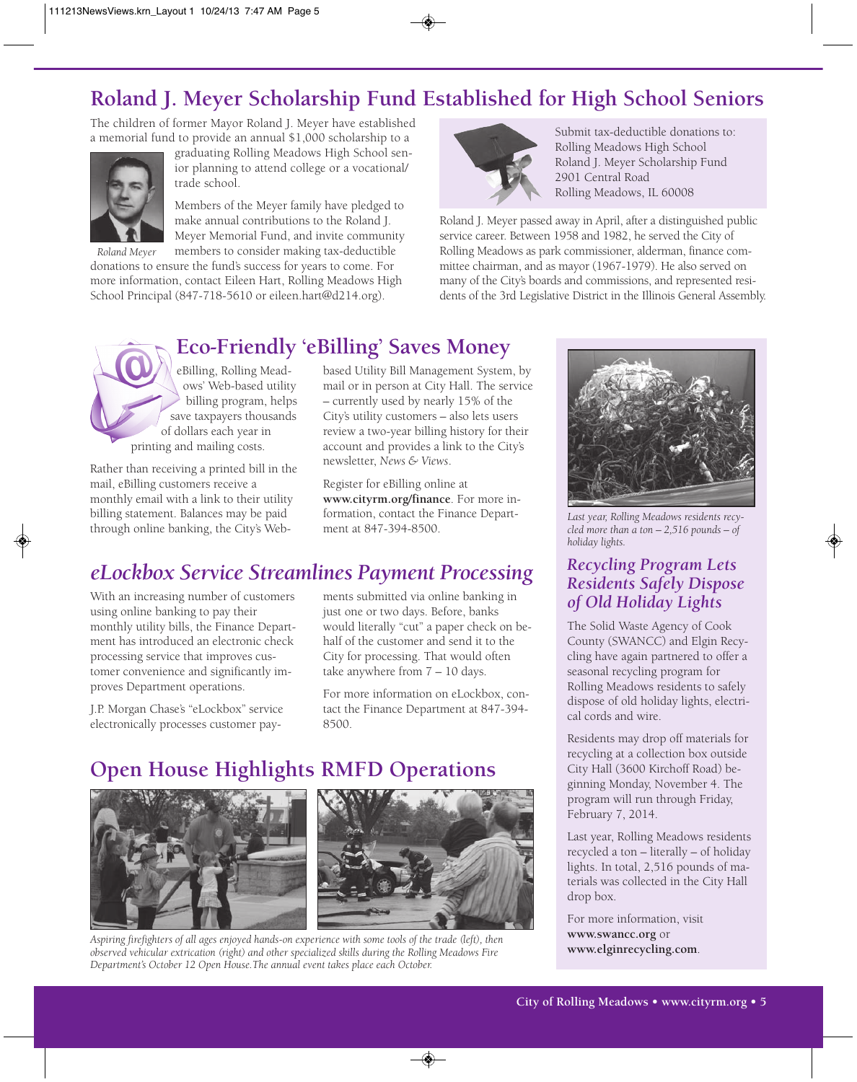## **Roland J. Meyer Scholarship Fund Established for High School Seniors**

The children of former Mayor Roland J. Meyer have established a memorial fund to provide an annual \$1,000 scholarship to a



graduating Rolling Meadows High School senior planning to attend college or a vocational/ trade school.

Members of the Meyer family have pledged to make annual contributions to the Roland J. Meyer Memorial Fund, and invite community

members to consider making tax-deductible donations to ensure the fund's success for years to come. For more information, contact Eileen Hart, Rolling Meadows High School Principal (847-718-5610 or eileen.hart@d214.org). *Roland Meyer*



Submit tax-deductible donations to: Rolling Meadows High School Roland J. Meyer Scholarship Fund 2901 Central Road Rolling Meadows, IL 60008

Roland J. Meyer passed away in April, after a distinguished public service career. Between 1958 and 1982, he served the City of Rolling Meadows as park commissioner, alderman, finance committee chairman, and as mayor (1967-1979). He also served on many of the City's boards and commissions, and represented residents of the 3rd Legislative District in the Illinois General Assembly.

#### **Eco-Friendly 'eBilling' Saves Money**

eBilling, Rolling Meadows' Web-based utility billing program, helps save taxpayers thousands of dollars each year in printing and mailing costs.

Rather than receiving a printed bill in the mail, eBilling customers receive a monthly email with a link to their utility billing statement. Balances may be paid through online banking, the City's Web-

based Utility Bill Management System, by mail or in person at City Hall. The service – currently used by nearly 15% of the City's utility customers – also lets users review a two-year billing history for their account and provides a link to the City's newsletter, *News & Views*.

Register for eBilling online at **www.cityrm.org/finance**. For more information, contact the Finance Department at 847-394-8500.

## *eLockbox Service Streamlines Payment Processing*

With an increasing number of customers using online banking to pay their monthly utility bills, the Finance Department has introduced an electronic check processing service that improves customer convenience and significantly improves Department operations.

J.P. Morgan Chase's "eLockbox" service electronically processes customer pay-

ments submitted via online banking in just one or two days. Before, banks would literally "cut" a paper check on behalf of the customer and send it to the City for processing. That would often take anywhere from 7 – 10 days.

For more information on eLockbox, contact the Finance Department at 847-394- 8500.

## **Open House Highlights RMFD Operations**





*Aspiring firefighters of all ages enjoyed hands-on experience with some tools of the trade (left), then observed vehicular extrication (right) and other specialized skills during the Rolling Meadows Fire Department's October 12 Open House.The annual event takes place each October.*



*Last year, Rolling Meadows residents recycled more than a ton – 2,516 pounds – of holiday lights.*

#### *Recycling Program Lets Residents Safely Dispose of Old Holiday Lights*

The Solid Waste Agency of Cook County (SWANCC) and Elgin Recycling have again partnered to offer a seasonal recycling program for Rolling Meadows residents to safely dispose of old holiday lights, electri-

Residents may drop off materials for recycling at a collection box outside City Hall (3600 Kirchoff Road) beginning Monday, November 4. The program will run through Friday, February 7, 2014.

Last year, Rolling Meadows residents recycled a ton – literally – of holiday lights. In total, 2,516 pounds of materials was collected in the City Hall drop box.

For more information, visit **www.swancc.org** or **www.elginrecycling.com**.

## cal cords and wire.